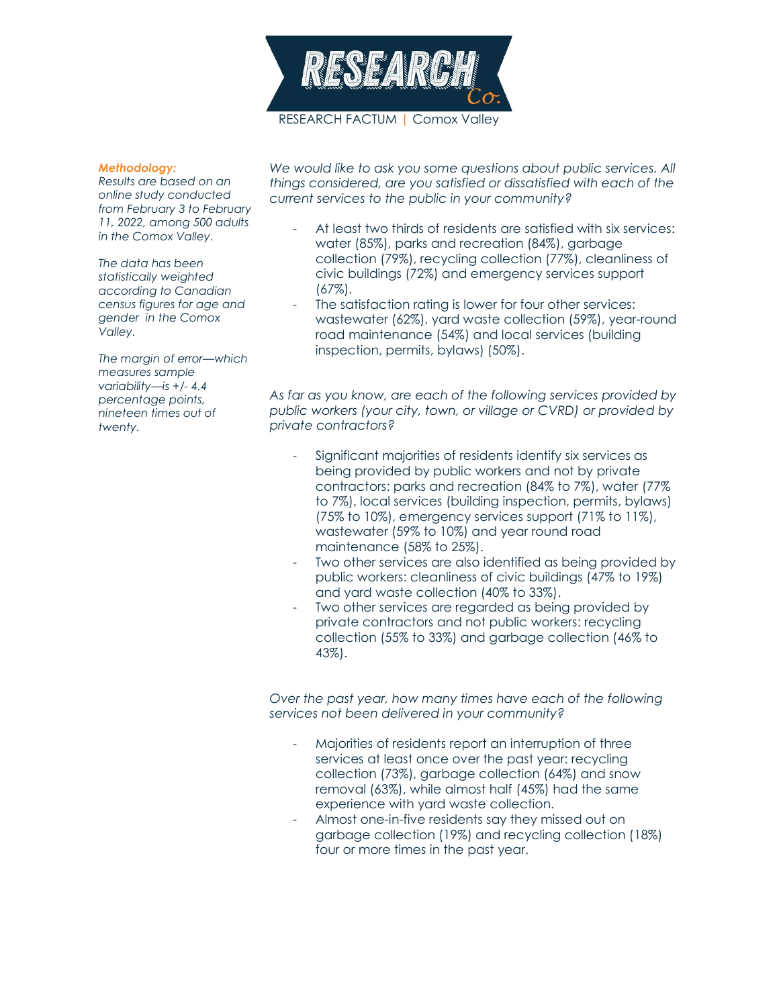

## *Methodology:*

*Results are based on an online study conducted from February 3 to February 11, 2022, among 500 adults in the Comox Valley.* 

*The data has been statistically weighted according to Canadian census figures for age and gender in the Comox Valley.*

*The margin of error—which measures sample variability—is +/- 4.4 percentage points, nineteen times out of twenty.*

We would like to ask you some questions about public services. All *things considered, are you satisfied or dissatisfied with each of the current services to the public in your community?*

- At least two thirds of residents are satisfied with six services: water (85%), parks and recreation (84%), garbage collection (79%), recycling collection (77%), cleanliness of civic buildings (72%) and emergency services support (67%).
- The satisfaction rating is lower for four other services: wastewater (62%), yard waste collection (59%), year-round road maintenance (54%) and local services (building inspection, permits, bylaws) (50%).

*As far as you know, are each of the following services provided by public workers (your city, town, or village or CVRD) or provided by private contractors?*

- Significant majorities of residents identify six services as being provided by public workers and not by private contractors: parks and recreation (84% to 7%), water (77% to 7%), local services (building inspection, permits, bylaws) (75% to 10%), emergency services support (71% to 11%), wastewater (59% to 10%) and year round road maintenance (58% to 25%).
- Two other services are also identified as being provided by public workers: cleanliness of civic buildings (47% to 19%) and yard waste collection (40% to 33%).
- Two other services are regarded as being provided by private contractors and not public workers: recycling collection (55% to 33%) and garbage collection (46% to 43%).

*Over the past year, how many times have each of the following services not been delivered in your community?*

- Majorities of residents report an interruption of three services at least once over the past year: recycling collection (73%), garbage collection (64%) and snow removal (63%), while almost half (45%) had the same experience with yard waste collection.
- Almost one-in-five residents say they missed out on garbage collection (19%) and recycling collection (18%) four or more times in the past year.